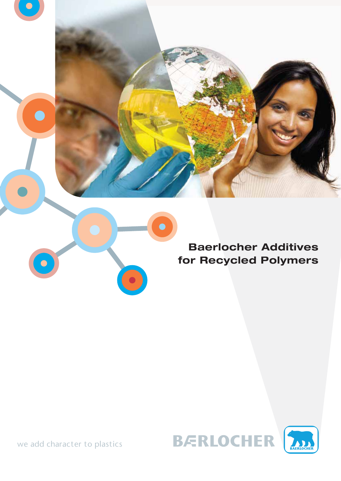





we add character to plastics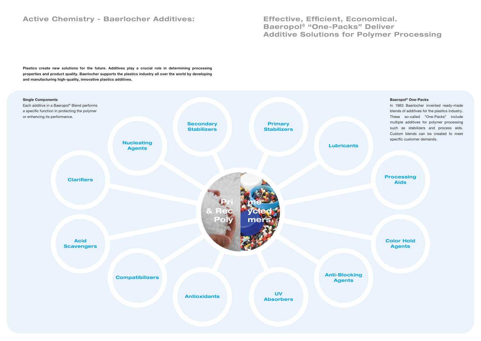### Active Chemistry - Baerlocher Additives:

Plastics create new solutions for the future. Additives play a crucial role in determining processing properties and product quality. Baerlocher supports the plastics industry all over the world by developing and manufacturing high-quality, innovative plastics additives.

> In 1963 Baerlocher invented ready-made blends of additives for the plastics industry. These so-called "One-Packs" include multiple additives for polymer processing such as stabilizers and process aids. Custom blends can be created to meet specific customer demands.

**Processing** Aids

Effective, Efficient, Economical. Baeropol® "One-Packs" Deliver Additive Solutions for Polymer Processing

#### Baeropol® One-Packs



Color Hold Agents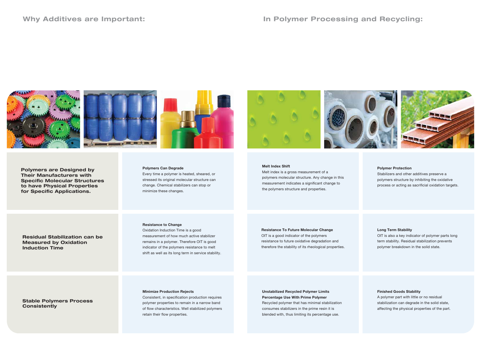### Why Additives are Important:



#### Polymers Can Degrade

Every time a polymer is heated, sheared, or stressed its original molecular structure can change. Chemical stabilizers can stop or minimize these changes.

#### Resistance to Change

Oxidation Induction Time is a good measurement of how much active stabilizer remains in a polymer. Therefore OIT is good indicator of the polymers resistance to melt shift as well as its long term in service stability.

### Stable Polymers Process **Consistently**

#### Minimize Production Rejects

Consistent, in specification production requires polymer properties to remain in a narrow band of flow characteristics. Well stabilized polymers retain their flow properties.

Stabilizers and other additives preserve a polymers structure by inhibiting the oxidative process or acting as sacrificial oxidation targets.

Polymers are Designed by Their Manufacturers with Specific Molecular Structures to have Physical Properties for Specific Applications.

# Residual Stabilization can be

### Measured by Oxidation Induction Time

#### Long Term Stability

OIT is also a key indicator of polymer parts long term stability. Residual stabilization prevents polymer breakdown in the solid state.

#### Finished Goods Stability

A polymer part with little or no residual stabilization can degrade in the solid state, affecting the physical properties of the part.

#### Polymer Protection

#### Melt Index Shift

Melt index is a gross measurement of a polymers molecular structure. Any change in this measurement indicates a significant change to the polymers structure and properties.



#### Resistance To Future Molecular Change

OIT is a good indicator of the polymers resistance to future oxidative degradation and therefore the stability of its rheological properties.

Unstabilized Recycled Polymer Limits Percentage Use With Prime Polymer Recycled polymer that has minimal stabilization consumes stabilizers in the prime resin it is blended with, thus limiting its percentage use.

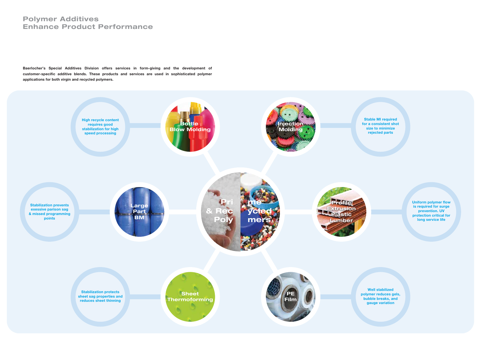Baerlocher's Special Additives Division offers services in form-giving and the development of customer-specific additive blends. These products and services are used in sophisticated polymer applications for both virgin and recycled polymers.

### Polymer Additives Enhance Product Performance



Stable MI required for a consistent shot size to minimize rejected parts



Uniform polymer flow is required for surge prevention. UV protection critical for long service life

Well stabilized polymer reduces gels, bubble breaks, and gauge variation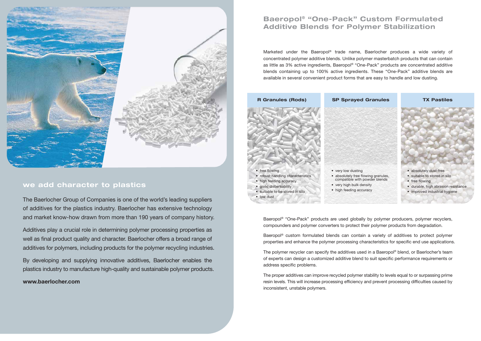Baeropol<sup>®</sup> "One-Pack" products are used globally by polymer producers, polymer recyclers, compounders and polymer converters to protect their polymer products from degradation.

Baeropol® custom formulated blends can contain a variety of additives to protect polymer properties and enhance the polymer processing characteristics for specific end use applications.

The polymer recycler can specify the additives used in a Baeropol<sup>®</sup> blend, or Baerlocher's team of experts can design a customized additive blend to suit specific performance requirements or address specific problems.

The proper additives can improve recycled polymer stability to levels equal to or surpassing prime resin levels. This will increase processing efficiency and prevent processing difficulties caused by inconsistent, unstable polymers.

Marketed under the Baeropol® trade name, Baerlocher produces a wide variety of concentrated polymer additive blends. Unlike polymer masterbatch products that can contain as little as 3% active ingredients, Baeropol® "One-Pack" products are concentrated additive blends containing up to 100% active ingredients. These "One-Pack" additive blends are available in several convenient product forms that are easy to handle and low dusting.



## Baeropol® "One-Pack" Custom Formulated Additive Blends for Polymer Stabilization



### we add character to plastics

The Baerlocher Group of Companies is one of the world's leading suppliers of additives for the plastics industry. Baerlocher has extensive technology and market know-how drawn from more than 190 years of company history.

Additives play a crucial role in determining polymer processing properties as well as final product quality and character. Baerlocher offers a broad range of additives for polymers, including products for the polymer recycling industries.

By developing and supplying innovative additives, Baerlocher enables the plastics industry to manufacture high-quality and sustainable polymer products.

### www.baerlocher.com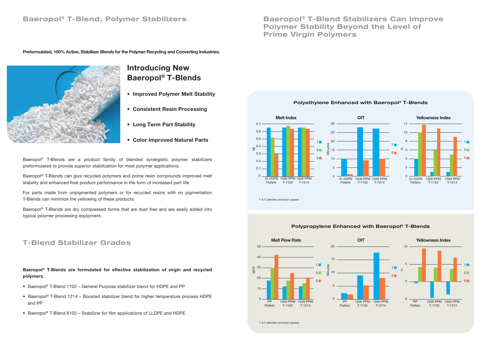\*1 & 5 denotes extrusion passes



### Polypropylene Enhanced with Baeropol® T-Blends

\*1 & 5 denotes extrusion passes



Baeropol® T-Blends can give recycled polymers and prime resin compounds improved melt stability and enhanced final product performance in the form of increased part life.



## Baeropol® T-Blend Stabilizers Can Improve Polymer Stability Beyond the Level of Prime Virgin Polymers

## Introducing New Baeropol® T-Blends

- Baeropol® T-Blend 1102 General Purpose stabilizer blend for HDPE and PP
- Baeropol® T-Blend 1214 Boosted stabilizer blend for higher temperature process HDPE and PP
- Baeropol® T-Blend 6102 Stabilizer for film applications of LLDPE and HDPE
- Improved Polymer Melt Stability
- Consistent Resin Processing
- Long Term Part Stability
- Color Improved Natural Parts

### Baeropol® T-Blend, Polymer Stabilizers

Preformulated, 100% Active, Stabilizer Blends for the Polymer Recycling and Converting Industries.



### T-Blend Stabilizer Grades

Baeropol® T-Blends are a product family of blended synergistic polymer stabilizers preformulated to provide superior stabilization for most polymer applications.

For parts made from unpigmented polymers or for recycled resins with no pigmentation T-Blends can minimize the yellowing of these products.

Baeropol® T-Blends are dry compressed forms that are dust free and are easily added into typical polymer processing equipment.

Baeropol® T-Blends are formulated for effective stabilization of virgin and recycled polymers.